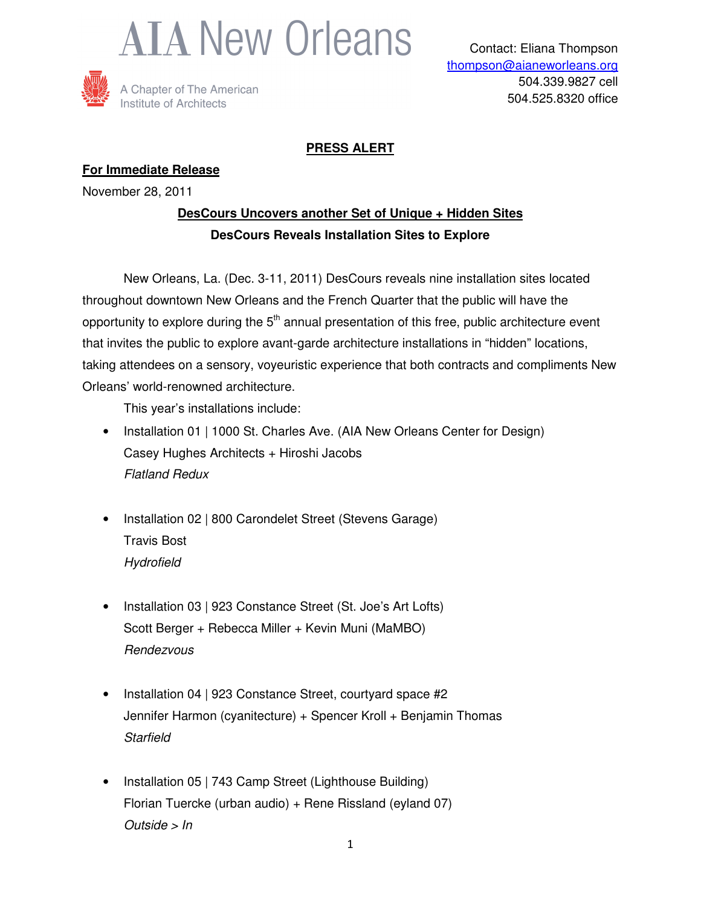



A Chapter of The American Institute of Architects

## **PRESS ALERT**

### **For Immediate Release**

November 28, 2011

## **DesCours Uncovers another Set of Unique + Hidden Sites DesCours Reveals Installation Sites to Explore**

 New Orleans, La. (Dec. 3-11, 2011) DesCours reveals nine installation sites located throughout downtown New Orleans and the French Quarter that the public will have the opportunity to explore during the  $5<sup>th</sup>$  annual presentation of this free, public architecture event that invites the public to explore avant-garde architecture installations in "hidden" locations, taking attendees on a sensory, voyeuristic experience that both contracts and compliments New Orleans' world-renowned architecture.

This year's installations include:

- Installation 01 | 1000 St. Charles Ave. (AIA New Orleans Center for Design) Casey Hughes Architects + Hiroshi Jacobs Flatland Redux
- Installation 02 | 800 Carondelet Street (Stevens Garage) Travis Bost **Hydrofield**
- Installation 03 | 923 Constance Street (St. Joe's Art Lofts) Scott Berger + Rebecca Miller + Kevin Muni (MaMBO) Rendezvous
- Installation 04 | 923 Constance Street, courtyard space #2 Jennifer Harmon (cyanitecture) + Spencer Kroll + Benjamin Thomas **Starfield**
- Installation 05 | 743 Camp Street (Lighthouse Building) Florian Tuercke (urban audio) + Rene Rissland (eyland 07) Outside > In